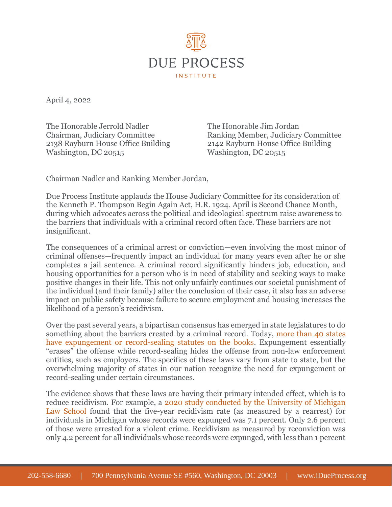

April 4, 2022

The Honorable Jerrold Nadler The Honorable Jim Jordan 2138 Rayburn House Office Building 2142 Rayburn House Office Building Washington, DC 20515

Chairman, Judiciary Committee Ranking Member, Judiciary Committee

Chairman Nadler and Ranking Member Jordan,

Due Process Institute applauds the House Judiciary Committee for its consideration of the Kenneth P. Thompson Begin Again Act, H.R. 1924. April is Second Chance Month, during which advocates across the political and ideological spectrum raise awareness to the barriers that individuals with a criminal record often face. These barriers are not insignificant.

The consequences of a criminal arrest or conviction—even involving the most minor of criminal offenses—frequently impact an individual for many years even after he or she completes a jail sentence. A criminal record significantly hinders job, education, and housing opportunities for a person who is in need of stability and seeking ways to make positive changes in their life. This not only unfairly continues our societal punishment of the individual (and their family) after the conclusion of their case, it also has an adverse impact on public safety because failure to secure employment and housing increases the likelihood of a person's recidivism.

Over the past several years, a bipartisan consensus has emerged in state legislatures to do something about the barriers created by a criminal record. Today, [more than 40 states](https://ccresourcecenter.org/state-restoration-profiles/50-state-comparisonjudicial-expungement-sealing-and-set-aside/)  [have expungement or record-sealing statutes on the books.](https://ccresourcecenter.org/state-restoration-profiles/50-state-comparisonjudicial-expungement-sealing-and-set-aside/) Expungement essentially "erases" the offense while record-sealing hides the offense from non-law enforcement entities, such as employers. The specifics of these laws vary from state to state, but the overwhelming majority of states in our nation recognize the need for expungement or record-sealing under certain circumstances.

The evidence shows that these laws are having their primary intended effect, which is to reduce recidivism. For example, a [2020 study conducted by the University of Michigan](https://repository.law.umich.edu/cgi/viewcontent.cgi?article=3167&context=articles)  [Law School](https://repository.law.umich.edu/cgi/viewcontent.cgi?article=3167&context=articles) found that the five-year recidivism rate (as measured by a rearrest) for individuals in Michigan whose records were expunged was 7.1 percent. Only 2.6 percent of those were arrested for a violent crime. Recidivism as measured by reconviction was only 4.2 percent for all individuals whose records were expunged, with less than 1 percent